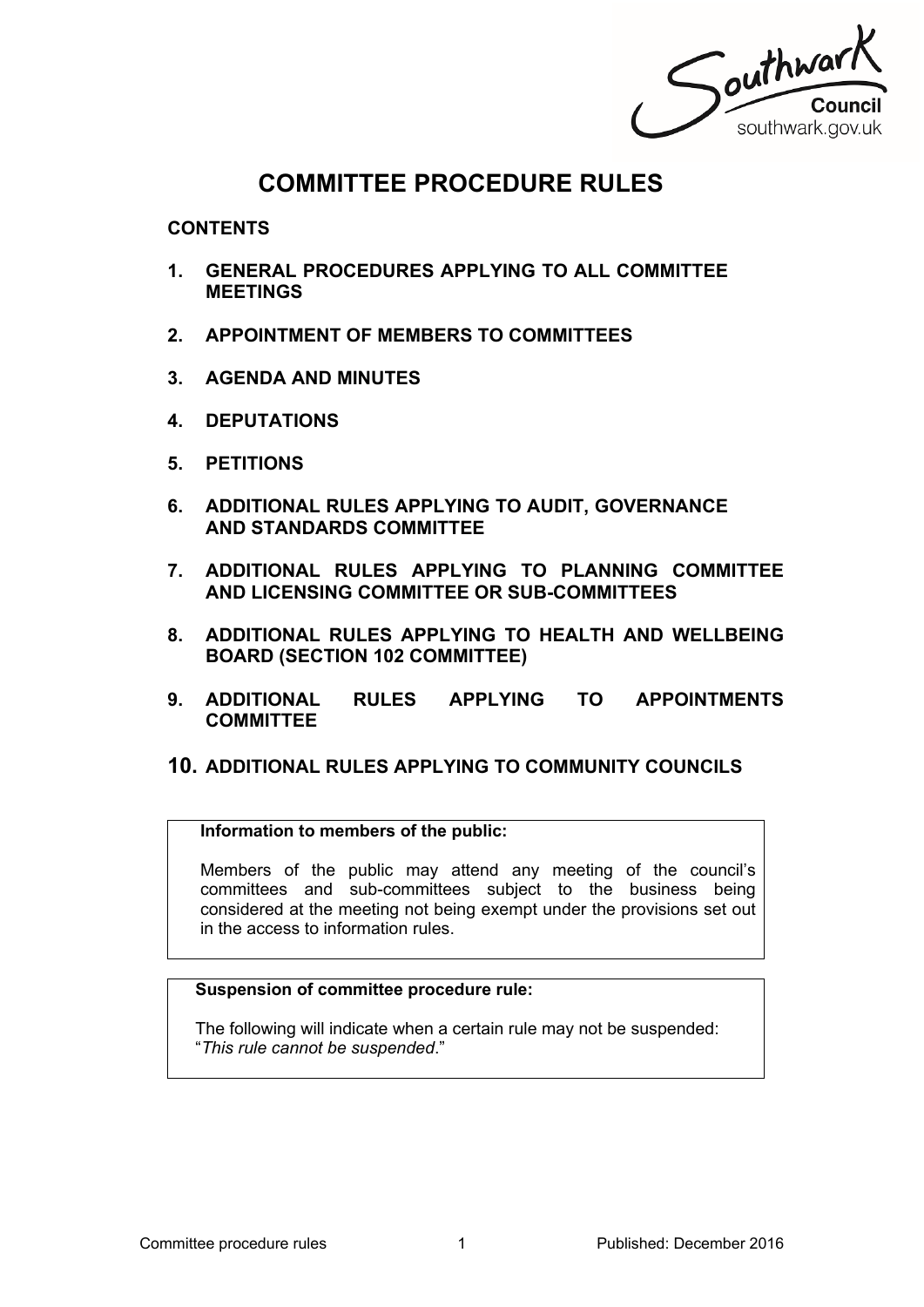Southwark southwark.gov.uk

# **COMMITTEE PROCEDURE RULES**

**CONTENTS**

- **1. GENERAL PROCEDURES APPLYING TO ALL COMMITTEE MEETINGS**
- **2. APPOINTMENT OF MEMBERS TO COMMITTEES**
- **3. AGENDA AND MINUTES**
- **4. DEPUTATIONS**
- **5. PETITIONS**
- **6. ADDITIONAL RULES APPLYING TO AUDIT, GOVERNANCE AND STANDARDS COMMITTEE**
- **7. ADDITIONAL RULES APPLYING TO PLANNING COMMITTEE AND LICENSING COMMITTEE OR SUB-COMMITTEES**
- **8. ADDITIONAL RULES APPLYING TO HEALTH AND WELLBEING BOARD (SECTION 102 COMMITTEE)**
- **9. ADDITIONAL RULES APPLYING TO APPOINTMENTS COMMITTEE**

# **10. ADDITIONAL RULES APPLYING TO COMMUNITY COUNCILS**

### **Information to members of the public:**

Members of the public may attend any meeting of the council's committees and sub-committees subject to the business being considered at the meeting not being exempt under the provisions set out in the access to information rules.

# **Suspension of committee procedure rule:**

The following will indicate when a certain rule may not be suspended: "*This rule cannot be suspended*."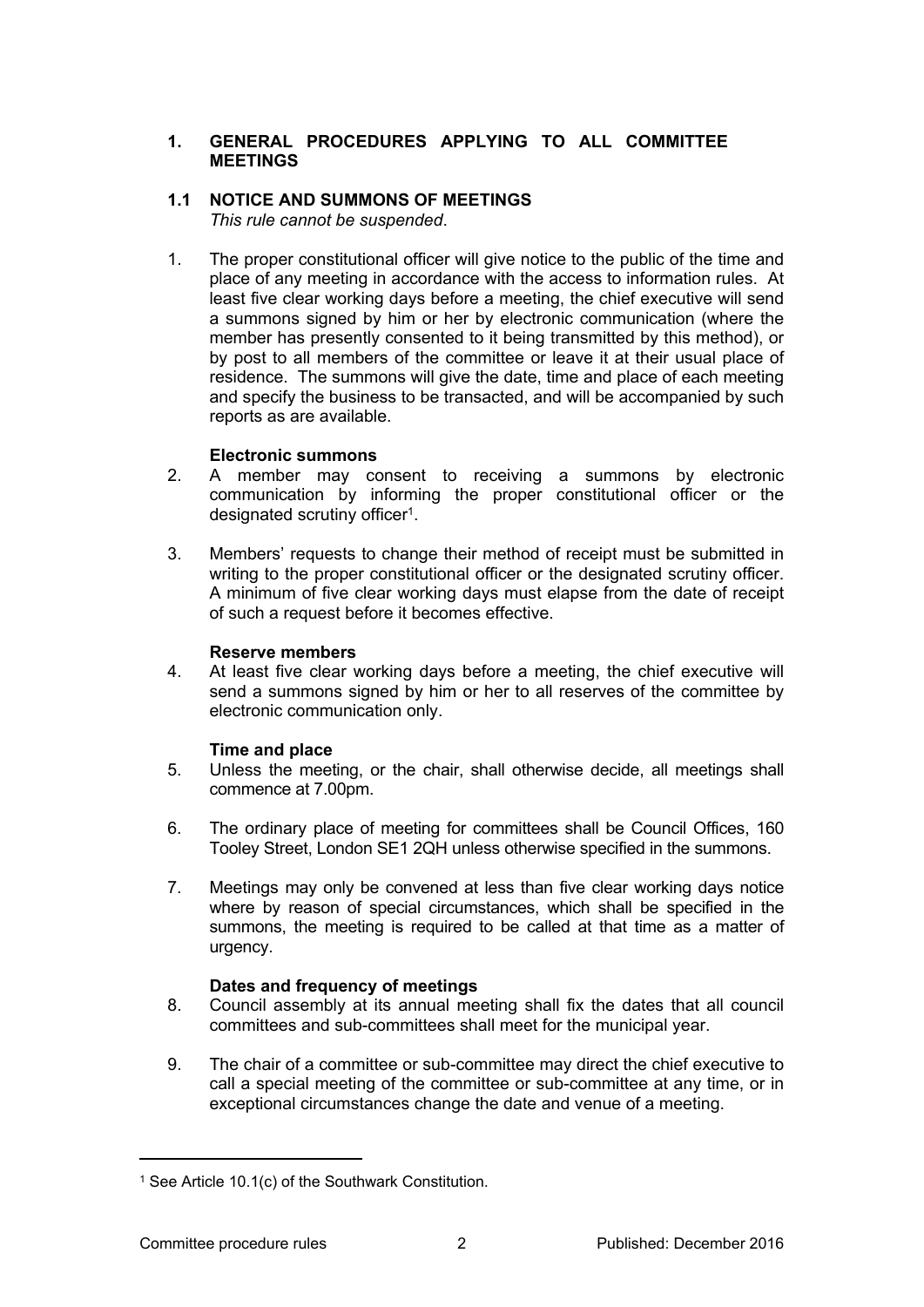# **1. GENERAL PROCEDURES APPLYING TO ALL COMMITTEE MEETINGS**

# **1.1 NOTICE AND SUMMONS OF MEETINGS**

*This rule cannot be suspended*.

1. The proper constitutional officer will give notice to the public of the time and place of any meeting in accordance with the access to information rules. At least five clear working days before a meeting, the chief executive will send a summons signed by him or her by electronic communication (where the member has presently consented to it being transmitted by this method), or by post to all members of the committee or leave it at their usual place of residence. The summons will give the date, time and place of each meeting and specify the business to be transacted, and will be accompanied by such reports as are available.

# **Electronic summons**

- 2. A member may consent to receiving a summons by electronic communication by informing the proper constitutional officer or the designated scrutiny officer<sup>1</sup>.
- 3. Members' requests to change their method of receipt must be submitted in writing to the proper constitutional officer or the designated scrutiny officer. A minimum of five clear working days must elapse from the date of receipt of such a request before it becomes effective.

# **Reserve members**

4. At least five clear working days before a meeting, the chief executive will send a summons signed by him or her to all reserves of the committee by electronic communication only.

# **Time and place**

- 5. Unless the meeting, or the chair, shall otherwise decide, all meetings shall commence at 7.00pm.
- 6. The ordinary place of meeting for committees shall be Council Offices, 160 Tooley Street, London SE1 2QH unless otherwise specified in the summons.
- 7. Meetings may only be convened at less than five clear working days notice where by reason of special circumstances, which shall be specified in the summons, the meeting is required to be called at that time as a matter of urgency.

# **Dates and frequency of meetings**

- 8. Council assembly at its annual meeting shall fix the dates that all council committees and sub-committees shall meet for the municipal year.
- 9. The chair of a committee or sub-committee may direct the chief executive to call a special meeting of the committee or sub-committee at any time, or in exceptional circumstances change the date and venue of a meeting.

<sup>&</sup>lt;sup>1</sup> See Article 10.1(c) of the Southwark Constitution.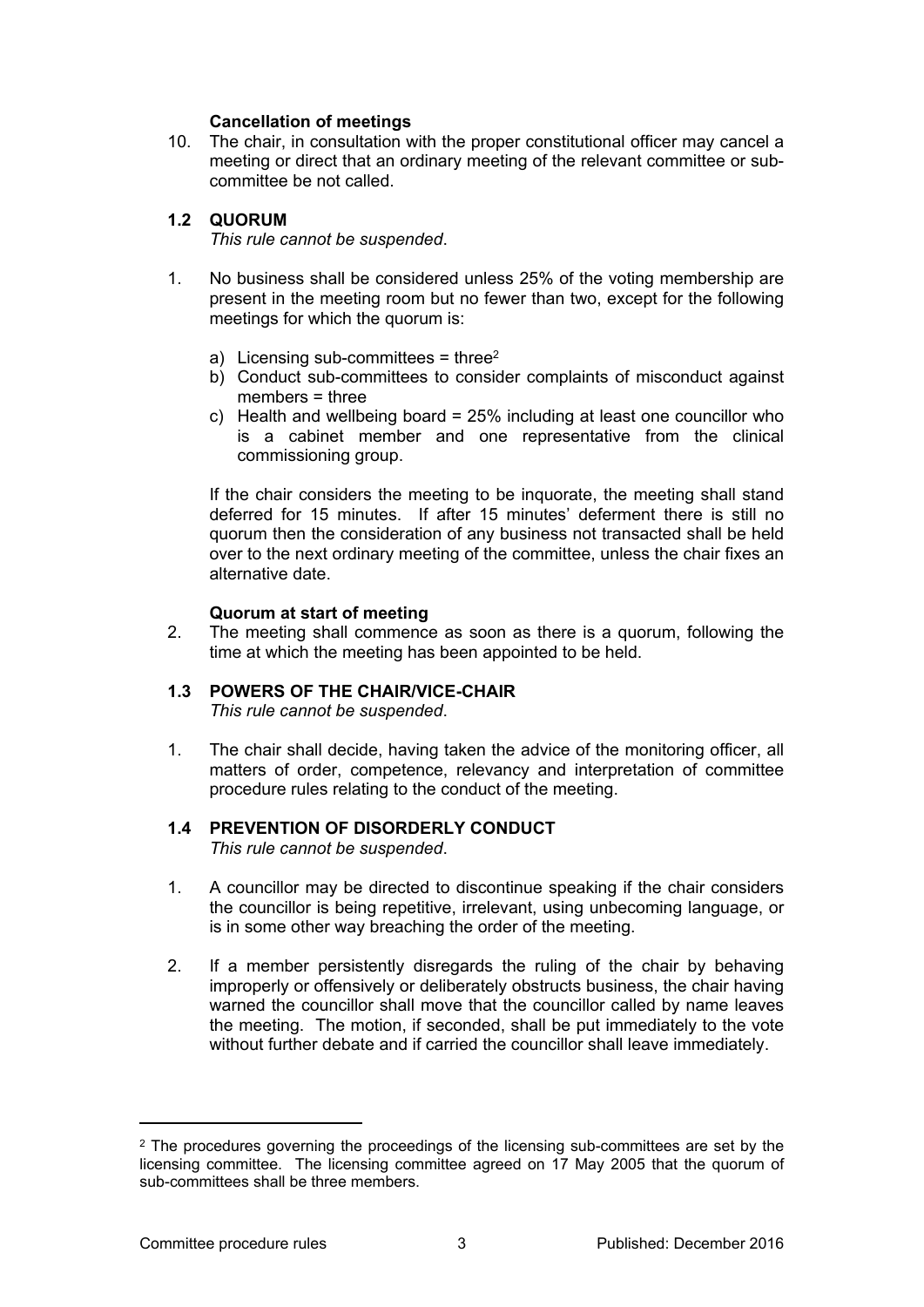### **Cancellation of meetings**

10. The chair, in consultation with the proper constitutional officer may cancel a meeting or direct that an ordinary meeting of the relevant committee or subcommittee be not called.

# **1.2 QUORUM**

*This rule cannot be suspended*.

- 1. No business shall be considered unless 25% of the voting membership are present in the meeting room but no fewer than two, except for the following meetings for which the quorum is:
	- a) Licensing sub-committees = three<sup>2</sup>
	- b) Conduct sub-committees to consider complaints of misconduct against members = three
	- c) Health and wellbeing board = 25% including at least one councillor who is a cabinet member and one representative from the clinical commissioning group.

If the chair considers the meeting to be inquorate, the meeting shall stand deferred for 15 minutes. If after 15 minutes' deferment there is still no quorum then the consideration of any business not transacted shall be held over to the next ordinary meeting of the committee, unless the chair fixes an alternative date.

# **Quorum at start of meeting**

2. The meeting shall commence as soon as there is a quorum, following the time at which the meeting has been appointed to be held.

# **1.3 POWERS OF THE CHAIR/VICE-CHAIR**

*This rule cannot be suspended*.

1. The chair shall decide, having taken the advice of the monitoring officer, all matters of order, competence, relevancy and interpretation of committee procedure rules relating to the conduct of the meeting.

# **1.4 PREVENTION OF DISORDERLY CONDUCT**

*This rule cannot be suspended*.

- 1. A councillor may be directed to discontinue speaking if the chair considers the councillor is being repetitive, irrelevant, using unbecoming language, or is in some other way breaching the order of the meeting.
- 2. If a member persistently disregards the ruling of the chair by behaving improperly or offensively or deliberately obstructs business, the chair having warned the councillor shall move that the councillor called by name leaves the meeting. The motion, if seconded, shall be put immediately to the vote without further debate and if carried the councillor shall leave immediately.

<sup>2</sup> The procedures governing the proceedings of the licensing sub-committees are set by the licensing committee. The licensing committee agreed on 17 May 2005 that the quorum of sub-committees shall be three members.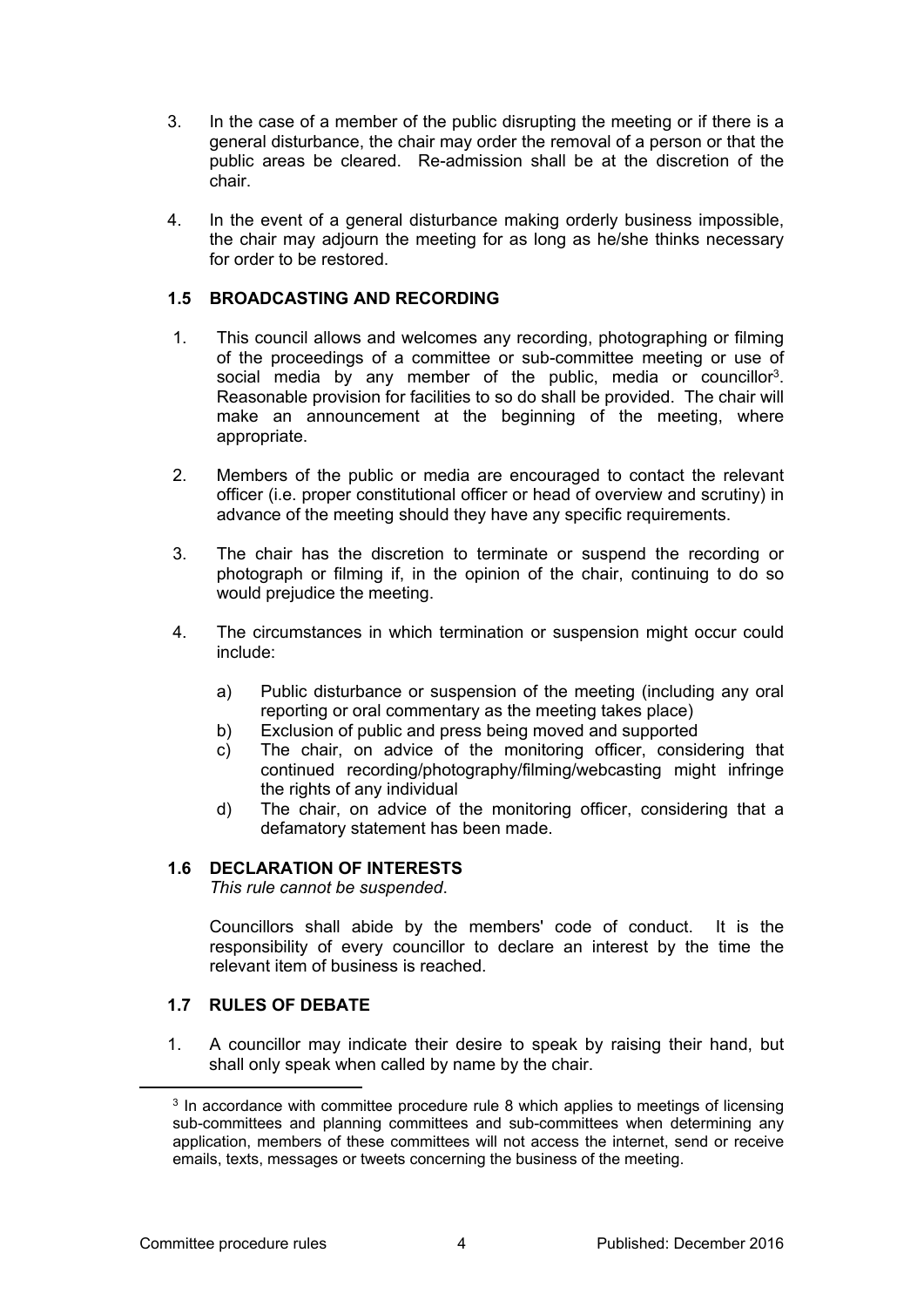- 3. In the case of a member of the public disrupting the meeting or if there is a general disturbance, the chair may order the removal of a person or that the public areas be cleared. Re-admission shall be at the discretion of the chair.
- 4. In the event of a general disturbance making orderly business impossible, the chair may adjourn the meeting for as long as he/she thinks necessary for order to be restored.

# **1.5 BROADCASTING AND RECORDING**

- 1. This council allows and welcomes any recording, photographing or filming of the proceedings of a committee or sub-committee meeting or use of social media by any member of the public, media or councillor<sup>3</sup>. Reasonable provision for facilities to so do shall be provided. The chair will make an announcement at the beginning of the meeting, where appropriate.
- 2. Members of the public or media are encouraged to contact the relevant officer (i.e. proper constitutional officer or head of overview and scrutiny) in advance of the meeting should they have any specific requirements.
- 3. The chair has the discretion to terminate or suspend the recording or photograph or filming if, in the opinion of the chair, continuing to do so would prejudice the meeting.
- 4. The circumstances in which termination or suspension might occur could include:
	- a) Public disturbance or suspension of the meeting (including any oral reporting or oral commentary as the meeting takes place)
	- b) Exclusion of public and press being moved and supported
	- c) The chair, on advice of the monitoring officer, considering that continued recording/photography/filming/webcasting might infringe the rights of any individual
	- d) The chair, on advice of the monitoring officer, considering that a defamatory statement has been made.

# **1.6 DECLARATION OF INTERESTS**

*This rule cannot be suspended*.

Councillors shall abide by the members' code of conduct. It is the responsibility of every councillor to declare an interest by the time the relevant item of business is reached.

# **1.7 RULES OF DEBATE**

1. A councillor may indicate their desire to speak by raising their hand, but shall only speak when called by name by the chair.

<sup>&</sup>lt;sup>3</sup> In accordance with committee procedure rule 8 which applies to meetings of licensing sub-committees and planning committees and sub-committees when determining any application, members of these committees will not access the internet, send or receive emails, texts, messages or tweets concerning the business of the meeting.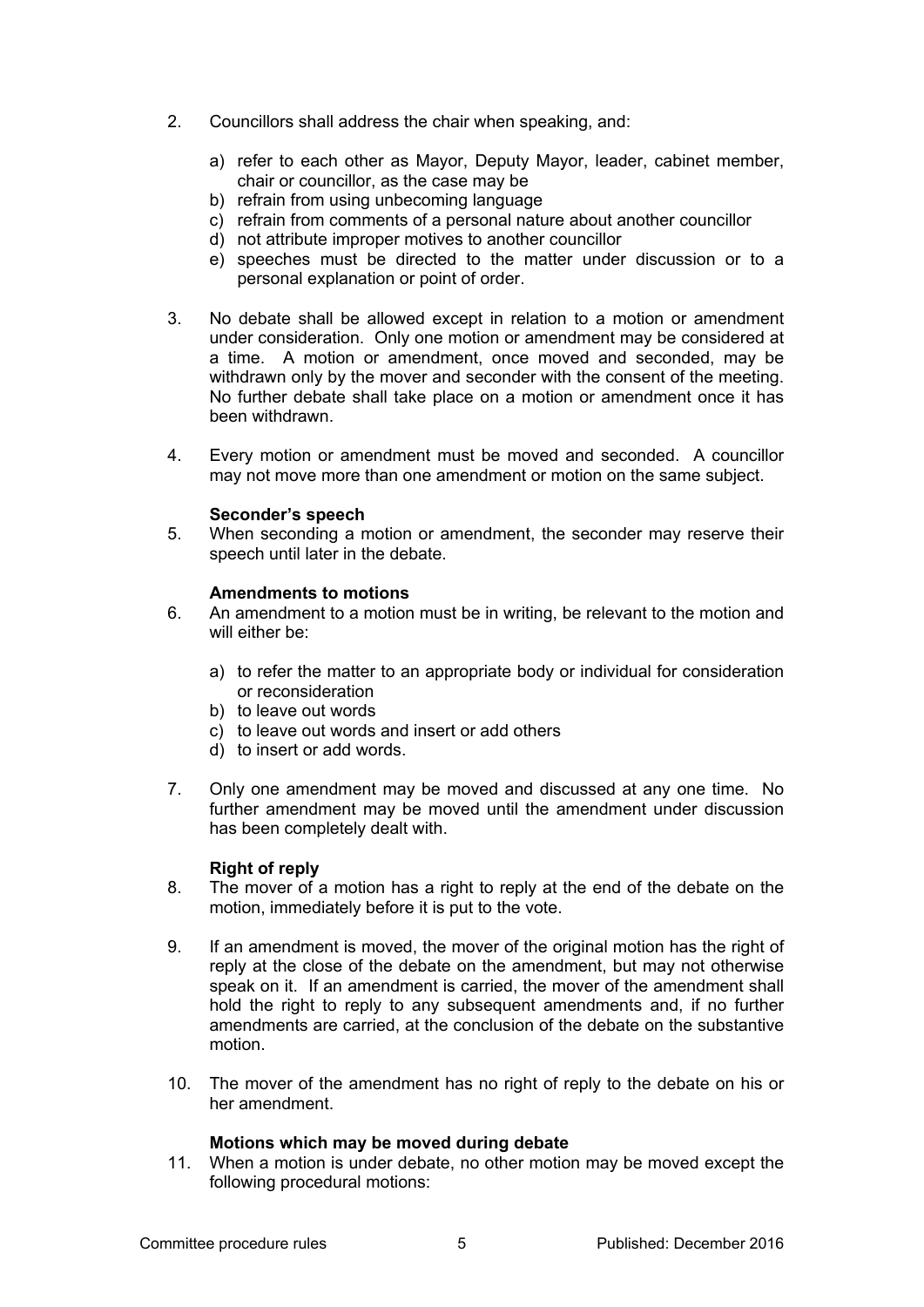- 2. Councillors shall address the chair when speaking, and:
	- a) refer to each other as Mayor, Deputy Mayor, leader, cabinet member, chair or councillor, as the case may be
	- b) refrain from using unbecoming language
	- c) refrain from comments of a personal nature about another councillor
	- d) not attribute improper motives to another councillor
	- e) speeches must be directed to the matter under discussion or to a personal explanation or point of order.
- 3. No debate shall be allowed except in relation to a motion or amendment under consideration. Only one motion or amendment may be considered at a time. A motion or amendment, once moved and seconded, may be withdrawn only by the mover and seconder with the consent of the meeting. No further debate shall take place on a motion or amendment once it has been withdrawn.
- 4. Every motion or amendment must be moved and seconded. A councillor may not move more than one amendment or motion on the same subject.

### **Seconder's speech**

5. When seconding a motion or amendment, the seconder may reserve their speech until later in the debate.

#### **Amendments to motions**

- 6. An amendment to a motion must be in writing, be relevant to the motion and will either be:
	- a) to refer the matter to an appropriate body or individual for consideration or reconsideration
	- b) to leave out words
	- c) to leave out words and insert or add others
	- d) to insert or add words.
- 7. Only one amendment may be moved and discussed at any one time. No further amendment may be moved until the amendment under discussion has been completely dealt with.

#### **Right of reply**

- 8. The mover of a motion has a right to reply at the end of the debate on the motion, immediately before it is put to the vote.
- 9. If an amendment is moved, the mover of the original motion has the right of reply at the close of the debate on the amendment, but may not otherwise speak on it. If an amendment is carried, the mover of the amendment shall hold the right to reply to any subsequent amendments and, if no further amendments are carried, at the conclusion of the debate on the substantive motion.
- 10. The mover of the amendment has no right of reply to the debate on his or her amendment.

#### **Motions which may be moved during debate**

11. When a motion is under debate, no other motion may be moved except the following procedural motions: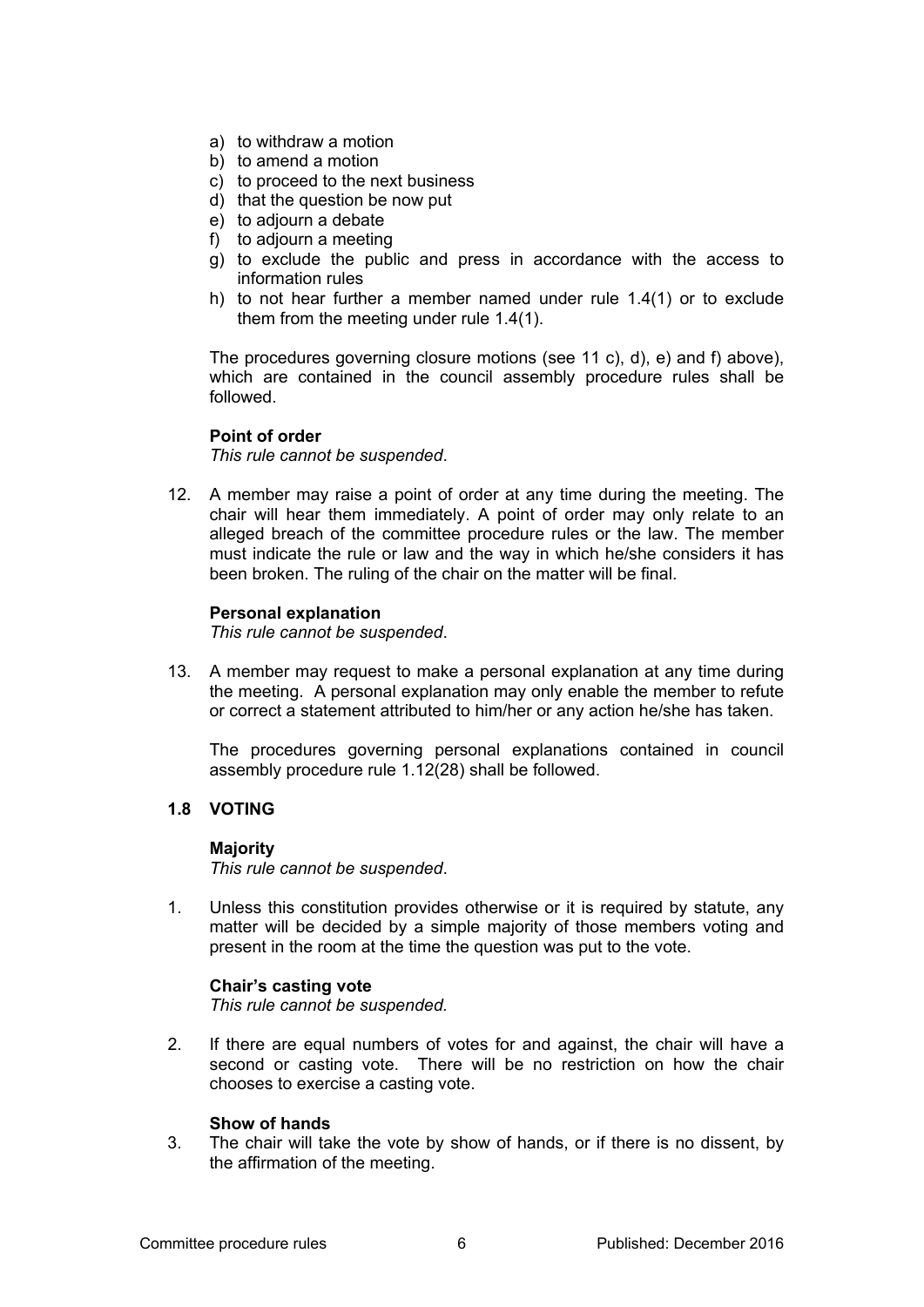- a) to withdraw a motion
- b) to amend a motion
- c) to proceed to the next business
- d) that the question be now put
- e) to adjourn a debate
- f) to adjourn a meeting
- g) to exclude the public and press in accordance with the access to information rules
- h) to not hear further a member named under rule 1.4(1) or to exclude them from the meeting under rule 1.4(1).

The procedures governing closure motions (see 11 c), d), e) and f) above), which are contained in the council assembly procedure rules shall be followed.

### **Point of order**

*This rule cannot be suspended*.

12. A member may raise a point of order at any time during the meeting. The chair will hear them immediately. A point of order may only relate to an alleged breach of the committee procedure rules or the law. The member must indicate the rule or law and the way in which he/she considers it has been broken. The ruling of the chair on the matter will be final.

#### **Personal explanation**

*This rule cannot be suspended*.

13. A member may request to make a personal explanation at any time during the meeting. A personal explanation may only enable the member to refute or correct a statement attributed to him/her or any action he/she has taken.

The procedures governing personal explanations contained in council assembly procedure rule 1.12(28) shall be followed.

### **1.8 VOTING**

#### **Majority**

*This rule cannot be suspended*.

1. Unless this constitution provides otherwise or it is required by statute, any matter will be decided by a simple majority of those members voting and present in the room at the time the question was put to the vote.

#### **Chair's casting vote**

*This rule cannot be suspended.*

2. If there are equal numbers of votes for and against, the chair will have a second or casting vote. There will be no restriction on how the chair chooses to exercise a casting vote.

#### **Show of hands**

3. The chair will take the vote by show of hands, or if there is no dissent, by the affirmation of the meeting.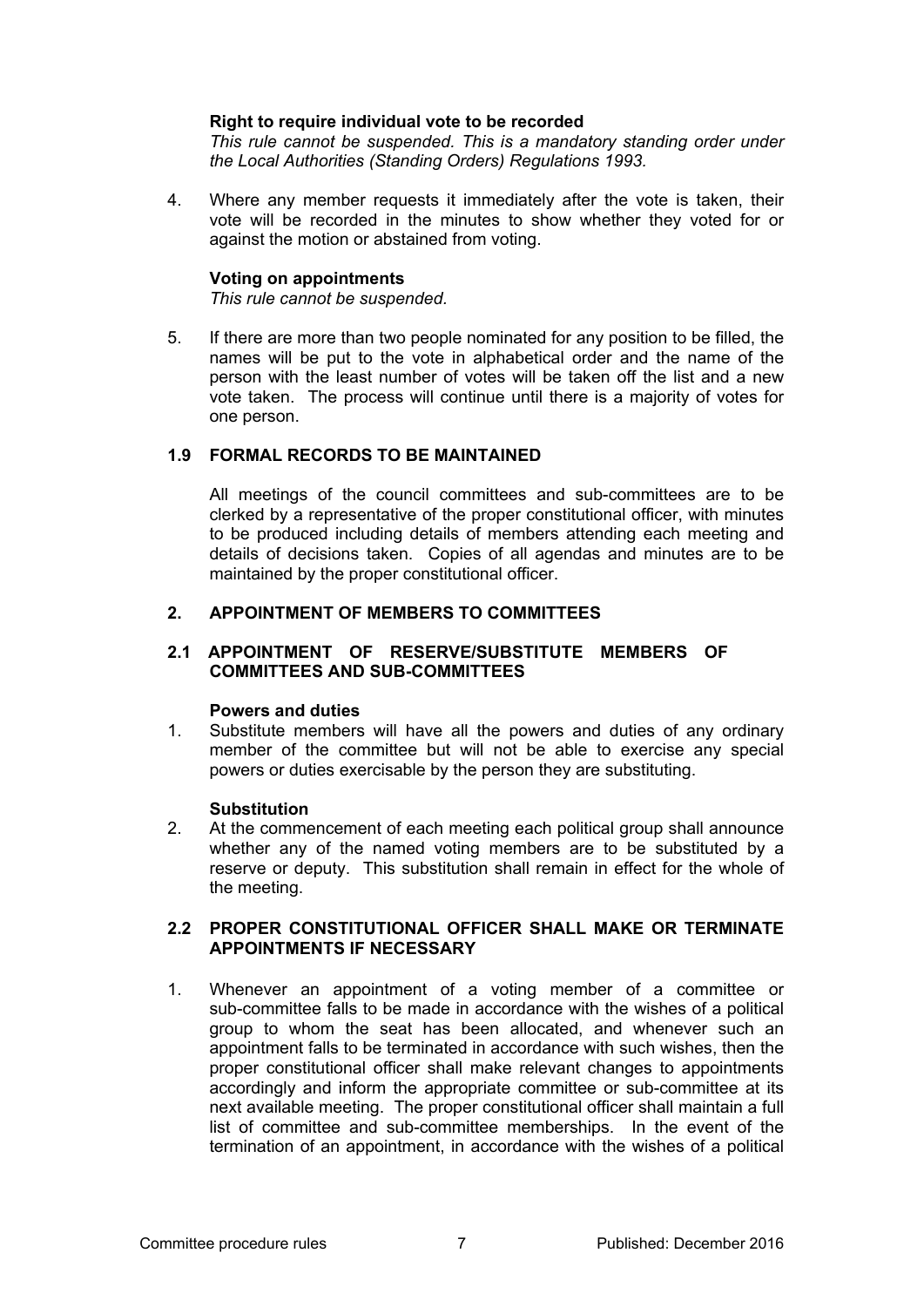### **Right to require individual vote to be recorded**

*This rule cannot be suspended. This is a mandatory standing order under the Local Authorities (Standing Orders) Regulations 1993.*

4. Where any member requests it immediately after the vote is taken, their vote will be recorded in the minutes to show whether they voted for or against the motion or abstained from voting.

#### **Voting on appointments**

*This rule cannot be suspended.*

5. If there are more than two people nominated for any position to be filled, the names will be put to the vote in alphabetical order and the name of the person with the least number of votes will be taken off the list and a new vote taken. The process will continue until there is a majority of votes for one person.

### **1.9 FORMAL RECORDS TO BE MAINTAINED**

All meetings of the council committees and sub-committees are to be clerked by a representative of the proper constitutional officer, with minutes to be produced including details of members attending each meeting and details of decisions taken. Copies of all agendas and minutes are to be maintained by the proper constitutional officer.

### **2. APPOINTMENT OF MEMBERS TO COMMITTEES**

### **2.1 APPOINTMENT OF RESERVE/SUBSTITUTE MEMBERS OF COMMITTEES AND SUB-COMMITTEES**

#### **Powers and duties**

1. Substitute members will have all the powers and duties of any ordinary member of the committee but will not be able to exercise any special powers or duties exercisable by the person they are substituting.

#### **Substitution**

2. At the commencement of each meeting each political group shall announce whether any of the named voting members are to be substituted by a reserve or deputy. This substitution shall remain in effect for the whole of the meeting.

### **2.2 PROPER CONSTITUTIONAL OFFICER SHALL MAKE OR TERMINATE APPOINTMENTS IF NECESSARY**

1. Whenever an appointment of a voting member of a committee or sub-committee falls to be made in accordance with the wishes of a political group to whom the seat has been allocated, and whenever such an appointment falls to be terminated in accordance with such wishes, then the proper constitutional officer shall make relevant changes to appointments accordingly and inform the appropriate committee or sub-committee at its next available meeting. The proper constitutional officer shall maintain a full list of committee and sub-committee memberships. In the event of the termination of an appointment, in accordance with the wishes of a political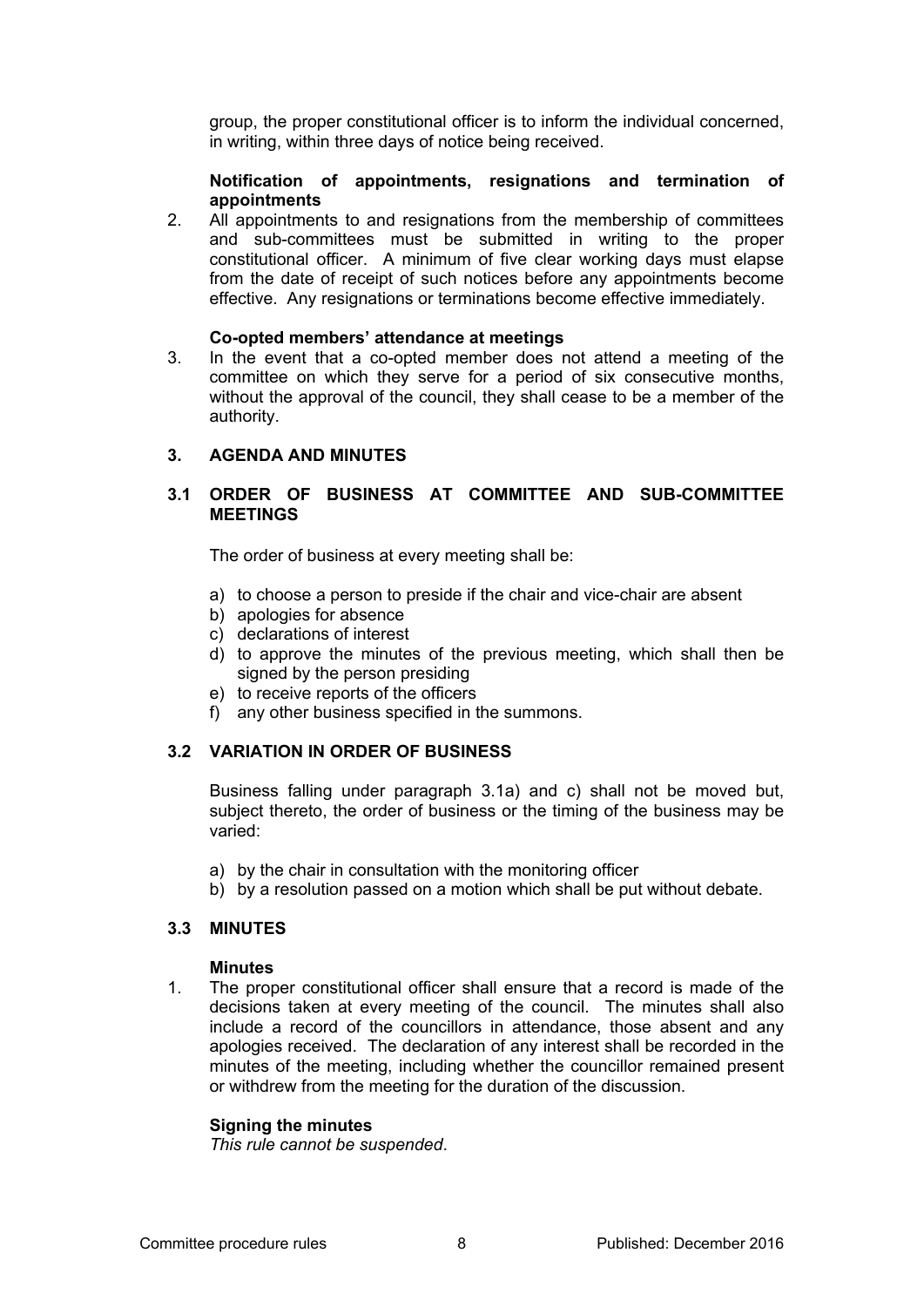group, the proper constitutional officer is to inform the individual concerned, in writing, within three days of notice being received.

### **Notification of appointments, resignations and termination of appointments**

2. All appointments to and resignations from the membership of committees and sub-committees must be submitted in writing to the proper constitutional officer. A minimum of five clear working days must elapse from the date of receipt of such notices before any appointments become effective. Any resignations or terminations become effective immediately.

### **Co-opted members' attendance at meetings**

3. In the event that a co-opted member does not attend a meeting of the committee on which they serve for a period of six consecutive months, without the approval of the council, they shall cease to be a member of the authority.

# **3. AGENDA AND MINUTES**

# **3.1 ORDER OF BUSINESS AT COMMITTEE AND SUB-COMMITTEE MEETINGS**

The order of business at every meeting shall be:

- a) to choose a person to preside if the chair and vice-chair are absent
- b) apologies for absence
- c) declarations of interest
- d) to approve the minutes of the previous meeting, which shall then be signed by the person presiding
- e) to receive reports of the officers
- f) any other business specified in the summons.

# **3.2 VARIATION IN ORDER OF BUSINESS**

Business falling under paragraph 3.1a) and c) shall not be moved but, subject thereto, the order of business or the timing of the business may be varied:

- a) by the chair in consultation with the monitoring officer
- b) by a resolution passed on a motion which shall be put without debate.

# **3.3 MINUTES**

#### **Minutes**

1. The proper constitutional officer shall ensure that a record is made of the decisions taken at every meeting of the council. The minutes shall also include a record of the councillors in attendance, those absent and any apologies received. The declaration of any interest shall be recorded in the minutes of the meeting, including whether the councillor remained present or withdrew from the meeting for the duration of the discussion.

# **Signing the minutes**

*This rule cannot be suspended*.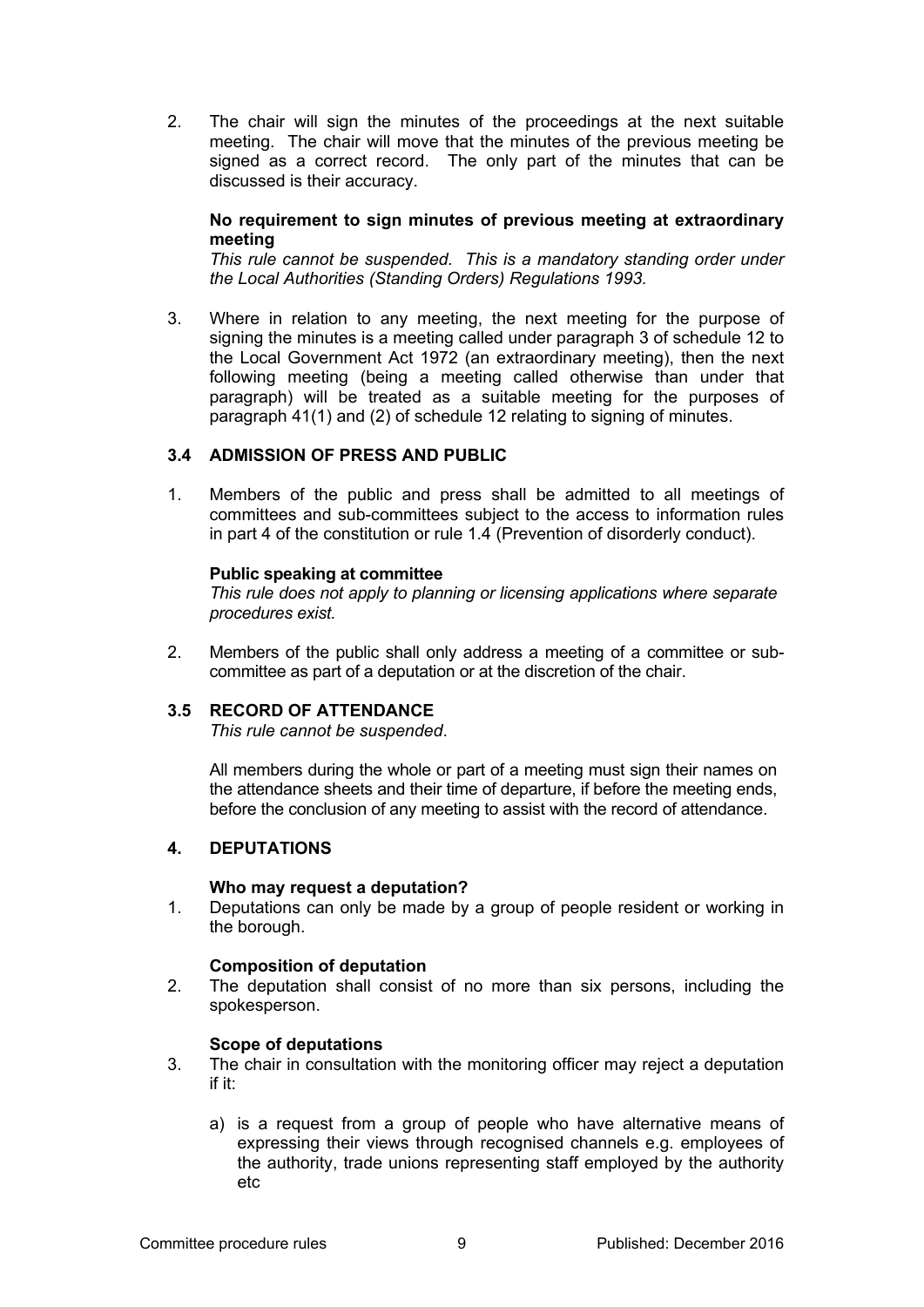2. The chair will sign the minutes of the proceedings at the next suitable meeting. The chair will move that the minutes of the previous meeting be signed as a correct record. The only part of the minutes that can be discussed is their accuracy.

### **No requirement to sign minutes of previous meeting at extraordinary meeting**

*This rule cannot be suspended. This is a mandatory standing order under the Local Authorities (Standing Orders) Regulations 1993.*

3. Where in relation to any meeting, the next meeting for the purpose of signing the minutes is a meeting called under paragraph 3 of schedule 12 to the Local Government Act 1972 (an extraordinary meeting), then the next following meeting (being a meeting called otherwise than under that paragraph) will be treated as a suitable meeting for the purposes of paragraph 41(1) and (2) of schedule 12 relating to signing of minutes.

# **3.4 ADMISSION OF PRESS AND PUBLIC**

1. Members of the public and press shall be admitted to all meetings of committees and sub-committees subject to the access to information rules in part 4 of the constitution or rule 1.4 (Prevention of disorderly conduct).

### **Public speaking at committee**

*This rule does not apply to planning or licensing applications where separate procedures exist.*

2. Members of the public shall only address a meeting of a committee or subcommittee as part of a deputation or at the discretion of the chair.

# **3.5 RECORD OF ATTENDANCE**

*This rule cannot be suspended*.

All members during the whole or part of a meeting must sign their names on the attendance sheets and their time of departure, if before the meeting ends, before the conclusion of any meeting to assist with the record of attendance.

# **4. DEPUTATIONS**

#### **Who may request a deputation?**

1. Deputations can only be made by a group of people resident or working in the borough.

# **Composition of deputation**

2. The deputation shall consist of no more than six persons, including the spokesperson.

#### **Scope of deputations**

- 3. The chair in consultation with the monitoring officer may reject a deputation if it:
	- a) is a request from a group of people who have alternative means of expressing their views through recognised channels e.g. employees of the authority, trade unions representing staff employed by the authority etc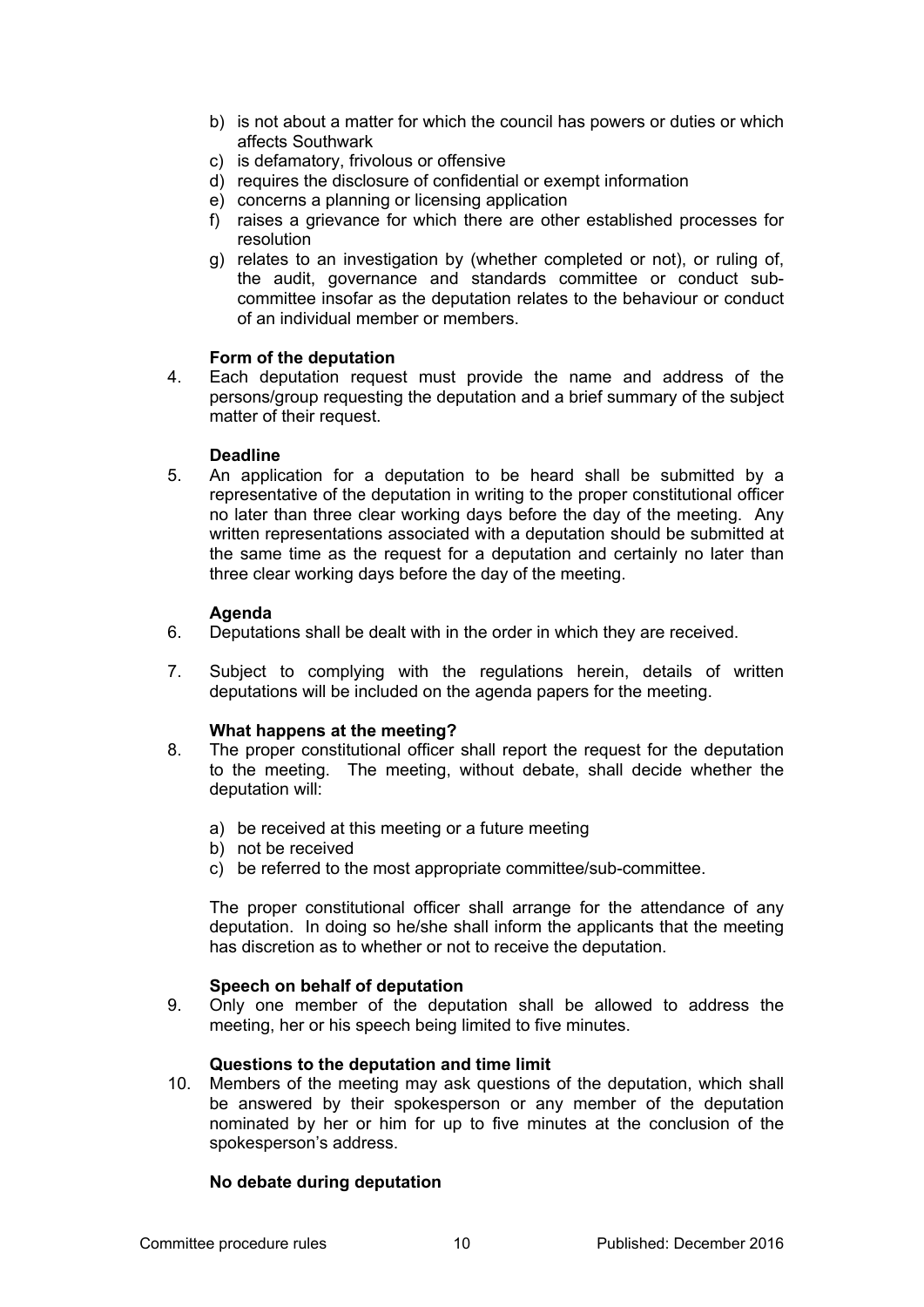- b) is not about a matter for which the council has powers or duties or which affects Southwark
- c) is defamatory, frivolous or offensive
- d) requires the disclosure of confidential or exempt information
- e) concerns a planning or licensing application
- f) raises a grievance for which there are other established processes for resolution
- g) relates to an investigation by (whether completed or not), or ruling of, the audit, governance and standards committee or conduct subcommittee insofar as the deputation relates to the behaviour or conduct of an individual member or members.

#### **Form of the deputation**

4. Each deputation request must provide the name and address of the persons/group requesting the deputation and a brief summary of the subject matter of their request.

#### **Deadline**

5. An application for a deputation to be heard shall be submitted by a representative of the deputation in writing to the proper constitutional officer no later than three clear working days before the day of the meeting. Any written representations associated with a deputation should be submitted at the same time as the request for a deputation and certainly no later than three clear working days before the day of the meeting.

### **Agenda**

- 6. Deputations shall be dealt with in the order in which they are received.
- 7. Subject to complying with the regulations herein, details of written deputations will be included on the agenda papers for the meeting.

#### **What happens at the meeting?**

- 8. The proper constitutional officer shall report the request for the deputation to the meeting. The meeting, without debate, shall decide whether the deputation will:
	- a) be received at this meeting or a future meeting
	- b) not be received
	- c) be referred to the most appropriate committee/sub-committee.

The proper constitutional officer shall arrange for the attendance of any deputation. In doing so he/she shall inform the applicants that the meeting has discretion as to whether or not to receive the deputation.

#### **Speech on behalf of deputation**

9. Only one member of the deputation shall be allowed to address the meeting, her or his speech being limited to five minutes.

#### **Questions to the deputation and time limit**

10. Members of the meeting may ask questions of the deputation, which shall be answered by their spokesperson or any member of the deputation nominated by her or him for up to five minutes at the conclusion of the spokesperson's address.

#### **No debate during deputation**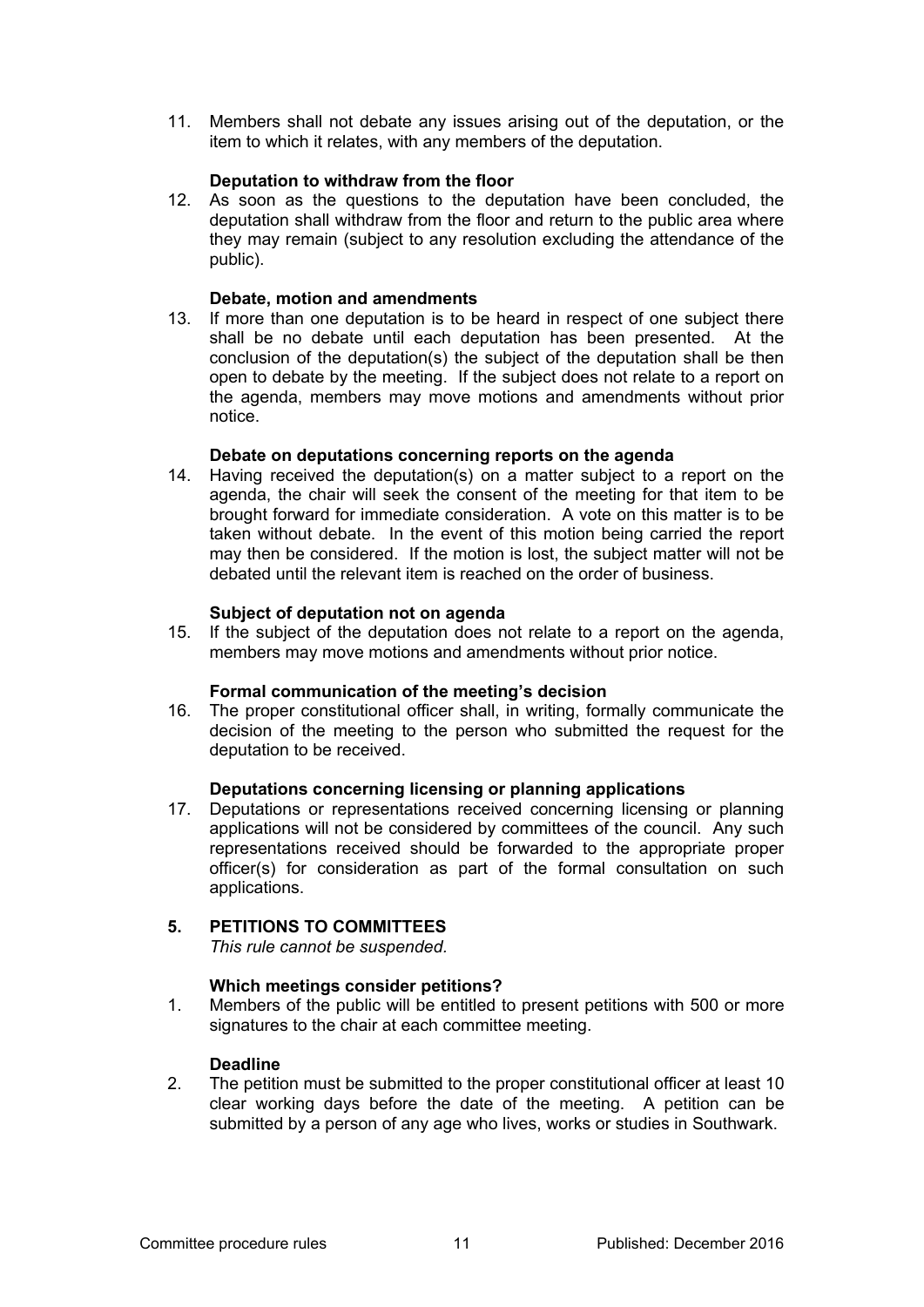11. Members shall not debate any issues arising out of the deputation, or the item to which it relates, with any members of the deputation.

### **Deputation to withdraw from the floor**

12. As soon as the questions to the deputation have been concluded, the deputation shall withdraw from the floor and return to the public area where they may remain (subject to any resolution excluding the attendance of the public).

### **Debate, motion and amendments**

13. If more than one deputation is to be heard in respect of one subject there shall be no debate until each deputation has been presented. At the conclusion of the deputation(s) the subject of the deputation shall be then open to debate by the meeting. If the subject does not relate to a report on the agenda, members may move motions and amendments without prior notice.

### **Debate on deputations concerning reports on the agenda**

14. Having received the deputation(s) on a matter subject to a report on the agenda, the chair will seek the consent of the meeting for that item to be brought forward for immediate consideration. A vote on this matter is to be taken without debate. In the event of this motion being carried the report may then be considered. If the motion is lost, the subject matter will not be debated until the relevant item is reached on the order of business.

### **Subject of deputation not on agenda**

15. If the subject of the deputation does not relate to a report on the agenda, members may move motions and amendments without prior notice.

#### **Formal communication of the meeting's decision**

16. The proper constitutional officer shall, in writing, formally communicate the decision of the meeting to the person who submitted the request for the deputation to be received.

# **Deputations concerning licensing or planning applications**

17. Deputations or representations received concerning licensing or planning applications will not be considered by committees of the council. Any such representations received should be forwarded to the appropriate proper officer(s) for consideration as part of the formal consultation on such applications.

# **5. PETITIONS TO COMMITTEES**

*This rule cannot be suspended.* 

# **Which meetings consider petitions?**

1. Members of the public will be entitled to present petitions with 500 or more signatures to the chair at each committee meeting.

### **Deadline**

2. The petition must be submitted to the proper constitutional officer at least 10 clear working days before the date of the meeting. A petition can be submitted by a person of any age who lives, works or studies in Southwark.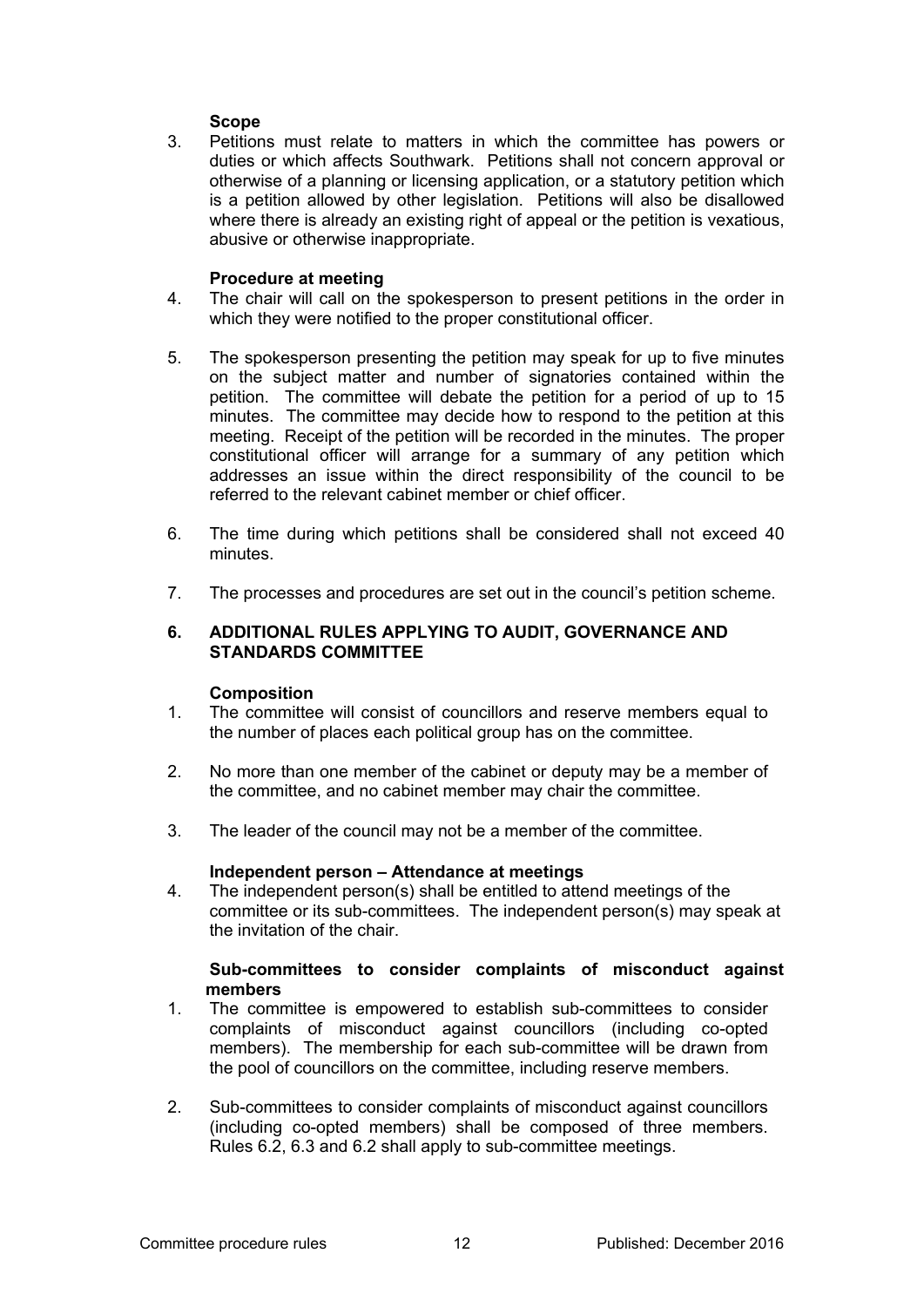# **Scope**

3. Petitions must relate to matters in which the committee has powers or duties or which affects Southwark. Petitions shall not concern approval or otherwise of a planning or licensing application, or a statutory petition which is a petition allowed by other legislation. Petitions will also be disallowed where there is already an existing right of appeal or the petition is vexatious, abusive or otherwise inappropriate.

### **Procedure at meeting**

- 4. The chair will call on the spokesperson to present petitions in the order in which they were notified to the proper constitutional officer.
- 5. The spokesperson presenting the petition may speak for up to five minutes on the subject matter and number of signatories contained within the petition. The committee will debate the petition for a period of up to 15 minutes. The committee may decide how to respond to the petition at this meeting. Receipt of the petition will be recorded in the minutes. The proper constitutional officer will arrange for a summary of any petition which addresses an issue within the direct responsibility of the council to be referred to the relevant cabinet member or chief officer.
- 6. The time during which petitions shall be considered shall not exceed 40 minutes.
- 7. The processes and procedures are set out in the council's petition scheme.

### **6. ADDITIONAL RULES APPLYING TO AUDIT, GOVERNANCE AND STANDARDS COMMITTEE**

#### **Composition**

- 1. The committee will consist of councillors and reserve members equal to the number of places each political group has on the committee.
- 2. No more than one member of the cabinet or deputy may be a member of the committee, and no cabinet member may chair the committee.
- 3. The leader of the council may not be a member of the committee.

#### **Independent person – Attendance at meetings**

4. The independent person(s) shall be entitled to attend meetings of the committee or its sub-committees. The independent person(s) may speak at the invitation of the chair.

### **Sub-committees to consider complaints of misconduct against members**

- 1. The committee is empowered to establish sub-committees to consider complaints of misconduct against councillors (including co-opted members). The membership for each sub-committee will be drawn from the pool of councillors on the committee, including reserve members.
- 2. Sub-committees to consider complaints of misconduct against councillors (including co-opted members) shall be composed of three members. Rules 6.2, 6.3 and 6.2 shall apply to sub-committee meetings.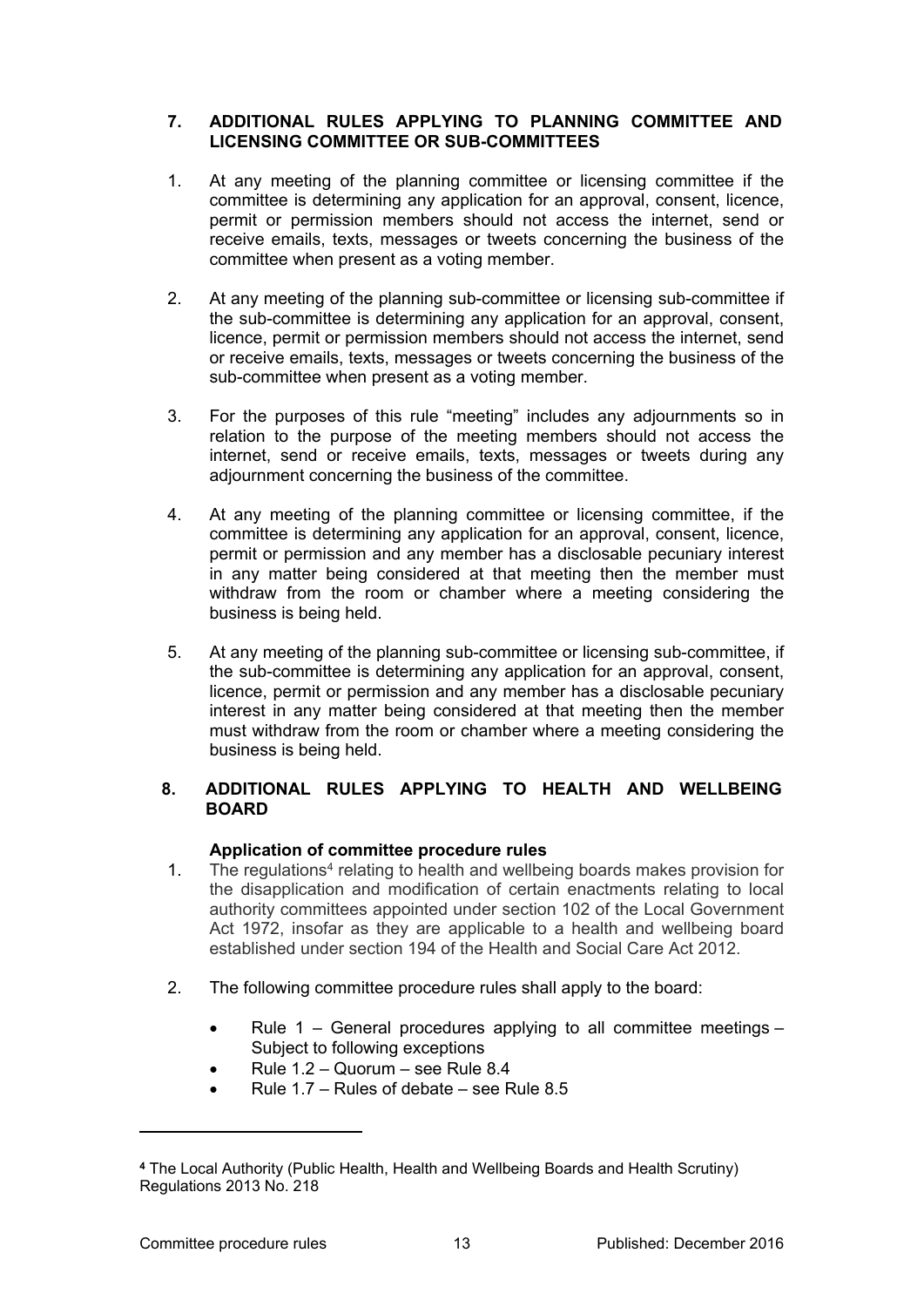# **7. ADDITIONAL RULES APPLYING TO PLANNING COMMITTEE AND LICENSING COMMITTEE OR SUB-COMMITTEES**

- 1. At any meeting of the planning committee or licensing committee if the committee is determining any application for an approval, consent, licence, permit or permission members should not access the internet, send or receive emails, texts, messages or tweets concerning the business of the committee when present as a voting member.
- 2. At any meeting of the planning sub-committee or licensing sub-committee if the sub-committee is determining any application for an approval, consent, licence, permit or permission members should not access the internet, send or receive emails, texts, messages or tweets concerning the business of the sub-committee when present as a voting member.
- 3. For the purposes of this rule "meeting" includes any adjournments so in relation to the purpose of the meeting members should not access the internet, send or receive emails, texts, messages or tweets during any adjournment concerning the business of the committee.
- 4. At any meeting of the planning committee or licensing committee, if the committee is determining any application for an approval, consent, licence, permit or permission and any member has a disclosable pecuniary interest in any matter being considered at that meeting then the member must withdraw from the room or chamber where a meeting considering the business is being held.
- 5. At any meeting of the planning sub-committee or licensing sub-committee, if the sub-committee is determining any application for an approval, consent, licence, permit or permission and any member has a disclosable pecuniary interest in any matter being considered at that meeting then the member must withdraw from the room or chamber where a meeting considering the business is being held.

# **8. ADDITIONAL RULES APPLYING TO HEALTH AND WELLBEING BOARD**

# **Application of committee procedure rules**

- 1. The regulations<sup>4</sup> relating to health and wellbeing boards makes provision for the disapplication and modification of certain enactments relating to local authority committees appointed under section 102 of the Local Government Act 1972, insofar as they are applicable to a health and wellbeing board established under section 194 of the Health and Social Care Act 2012.
- 2. The following committee procedure rules shall apply to the board:
	- Rule 1 General procedures applying to all committee meetings Subject to following exceptions
	- Rule 1.2 Quorum see Rule 8.4
	- Rule  $1.7$  Rules of debate see Rule 8.5

**<sup>4</sup>** The Local Authority (Public Health, Health and Wellbeing Boards and Health Scrutiny) Regulations 2013 No. 218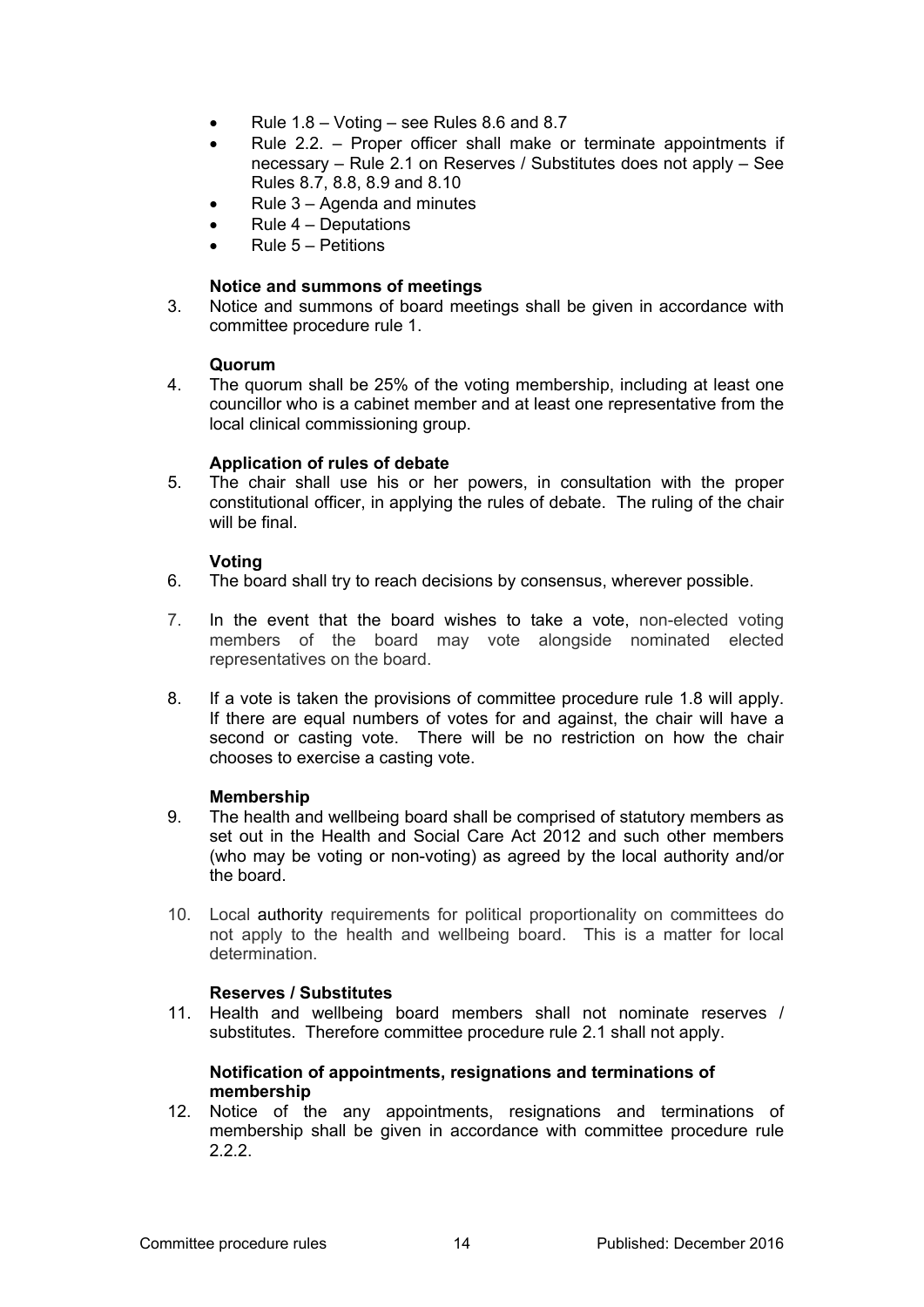- Rule 1.8 Voting see Rules 8.6 and 8.7
- Rule 2.2. Proper officer shall make or terminate appointments if necessary – Rule 2.1 on Reserves / Substitutes does not apply – See Rules 8.7, 8.8, 8.9 and 8.10
- Rule 3 Agenda and minutes
- $\bullet$  Rule  $4$  Deputations
- Rule 5 Petitions

### **Notice and summons of meetings**

3. Notice and summons of board meetings shall be given in accordance with committee procedure rule 1.

#### **Quorum**

4. The quorum shall be 25% of the voting membership, including at least one councillor who is a cabinet member and at least one representative from the local clinical commissioning group.

### **Application of rules of debate**

5. The chair shall use his or her powers, in consultation with the proper constitutional officer, in applying the rules of debate. The ruling of the chair will be final.

### **Voting**

- 6. The board shall try to reach decisions by consensus, wherever possible.
- 7. In the event that the board wishes to take a vote, non-elected voting members of the board may vote alongside nominated elected representatives on the board.
- 8. If a vote is taken the provisions of committee procedure rule 1.8 will apply. If there are equal numbers of votes for and against, the chair will have a second or casting vote. There will be no restriction on how the chair chooses to exercise a casting vote.

#### **Membership**

- 9. The health and wellbeing board shall be comprised of statutory members as set out in the Health and Social Care Act 2012 and such other members (who may be voting or non-voting) as agreed by the local authority and/or the board.
- 10. Local authority requirements for political proportionality on committees do not apply to the health and wellbeing board. This is a matter for local determination.

# **Reserves / Substitutes**

11. Health and wellbeing board members shall not nominate reserves / substitutes. Therefore committee procedure rule 2.1 shall not apply.

#### **Notification of appointments, resignations and terminations of membership**

12. Notice of the any appointments, resignations and terminations of membership shall be given in accordance with committee procedure rule 2.2.2.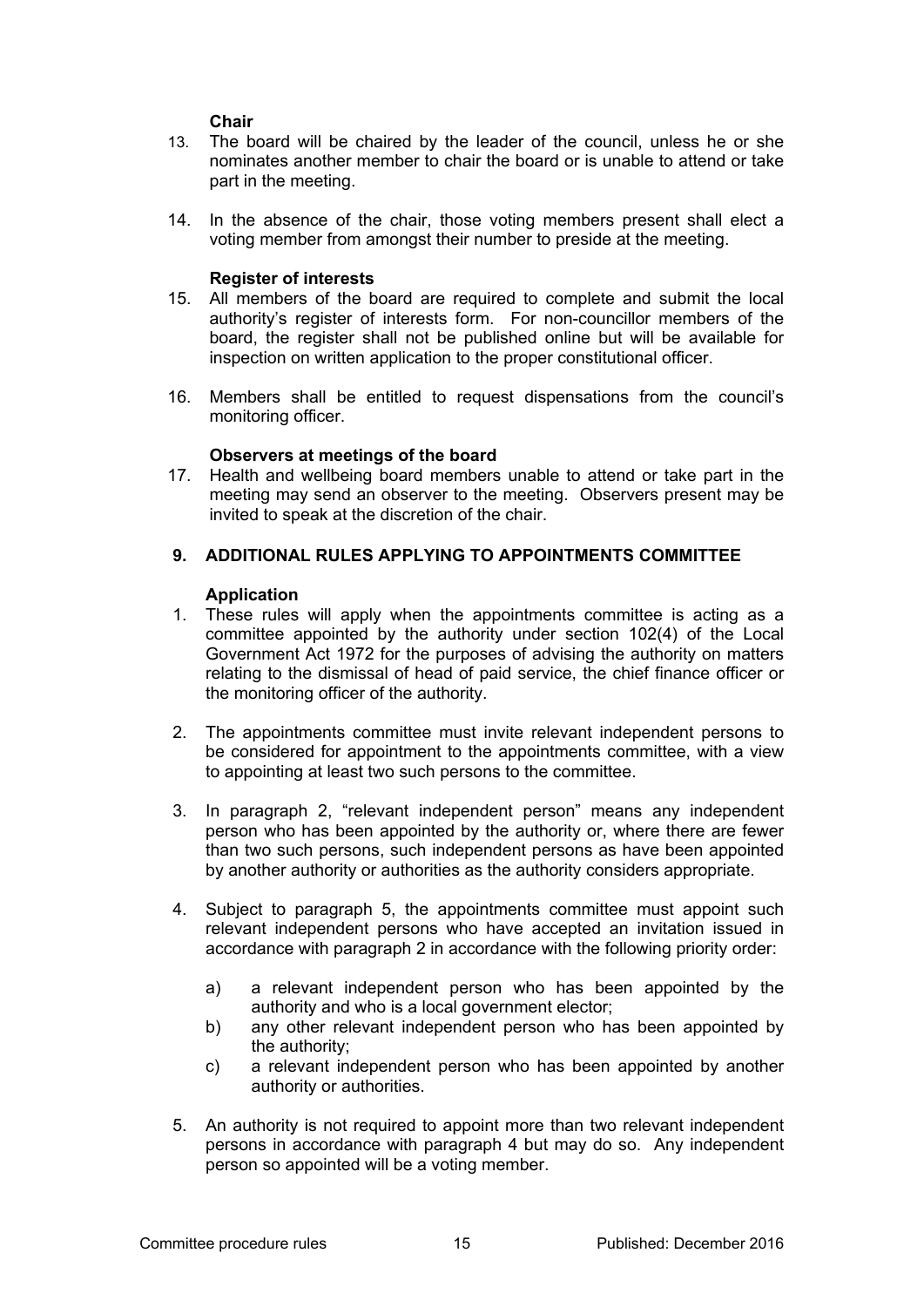### **Chair**

- 13. The board will be chaired by the leader of the council, unless he or she nominates another member to chair the board or is unable to attend or take part in the meeting.
- 14. In the absence of the chair, those voting members present shall elect a voting member from amongst their number to preside at the meeting.

### **Register of interests**

- 15. All members of the board are required to complete and submit the local authority's register of interests form. For non-councillor members of the board, the register shall not be published online but will be available for inspection on written application to the proper constitutional officer.
- 16. Members shall be entitled to request dispensations from the council's monitoring officer.

### **Observers at meetings of the board**

17. Health and wellbeing board members unable to attend or take part in the meeting may send an observer to the meeting. Observers present may be invited to speak at the discretion of the chair.

### **9. ADDITIONAL RULES APPLYING TO APPOINTMENTS COMMITTEE**

#### **Application**

- 1. These rules will apply when the appointments committee is acting as a committee appointed by the authority under section 102(4) of the Local Government Act 1972 for the purposes of advising the authority on matters relating to the dismissal of head of paid service, the chief finance officer or the monitoring officer of the authority.
- 2. The appointments committee must invite relevant independent persons to be considered for appointment to the appointments committee, with a view to appointing at least two such persons to the committee.
- 3. In paragraph 2, "relevant independent person" means any independent person who has been appointed by the authority or, where there are fewer than two such persons, such independent persons as have been appointed by another authority or authorities as the authority considers appropriate.
- 4. Subject to paragraph 5, the appointments committee must appoint such relevant independent persons who have accepted an invitation issued in accordance with paragraph 2 in accordance with the following priority order:
	- a) a relevant independent person who has been appointed by the authority and who is a local government elector;
	- b) any other relevant independent person who has been appointed by the authority;
	- c) a relevant independent person who has been appointed by another authority or authorities.
- 5. An authority is not required to appoint more than two relevant independent persons in accordance with paragraph 4 but may do so. Any independent person so appointed will be a voting member.